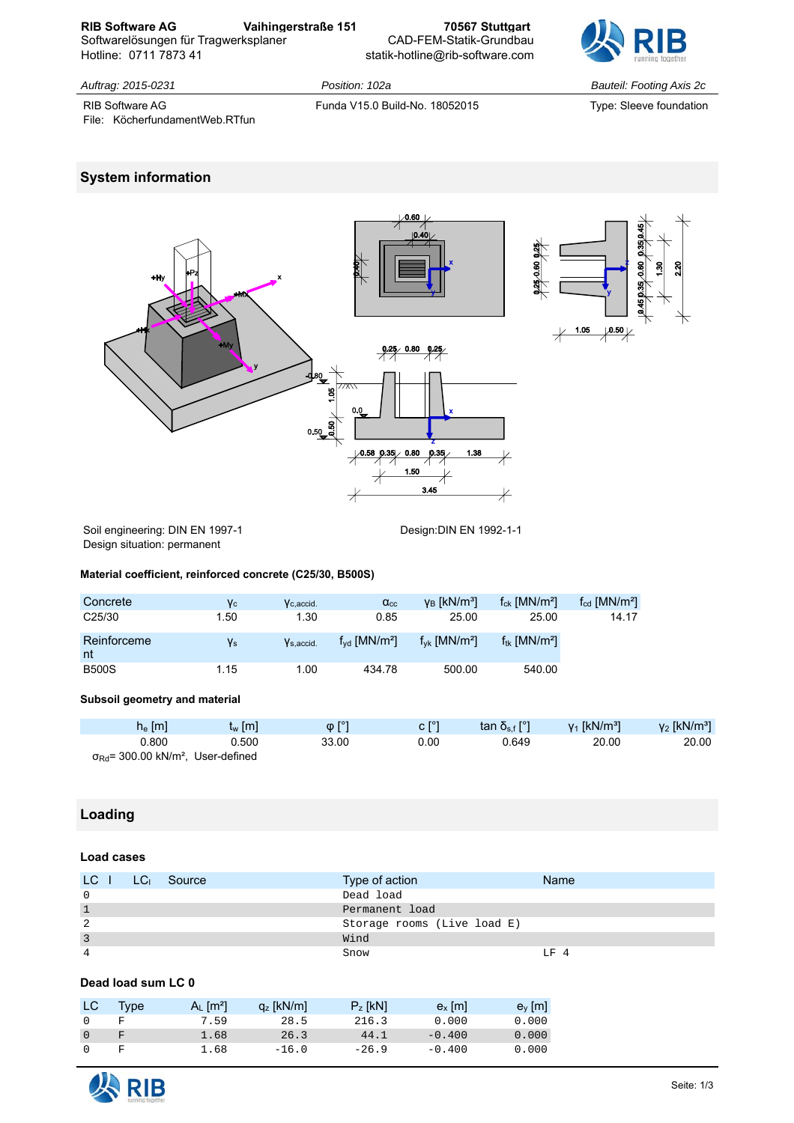**RIB Software AG Vaihingerstraße 151 70567 Stuttgart**  Softwarelösungen für Tragwerksplaner Hotline: 0711 7873 41 statik-hotline@rib-software.com



*Auftrag: 2015-0231 Position: 102a Bauteil: Footing Axis 2c*

RIB Software AG Funda V15.0 Build-No. 18052015 Type: Sleeve foundation File: KöcherfundamentWeb.RTfun

# **System information**



Soil engineering: DIN EN 1997-1 Design:DIN EN 1992-1-1

Design situation: permanent

#### **Material coefficient, reinforced concrete (C25/30, B500S)**

| Concrete            | Yс   | $V$ c.accid.          | $\alpha_{\rm cc}$             | $v_{B}$ [kN/m <sup>3</sup> ]     | $f_{ck}$ [MN/m <sup>2</sup> ] | $f_{\rm cd}$ [MN/m <sup>2</sup> ] |
|---------------------|------|-----------------------|-------------------------------|----------------------------------|-------------------------------|-----------------------------------|
| C <sub>25</sub> /30 | 1.50 | 1.30                  | 0.85                          | 25.00                            | 25.00                         | 14.17                             |
| Reinforceme<br>nt   | Ys   | V <sub>s.accid.</sub> | $f_{vd}$ [MN/m <sup>2</sup> ] | $f_{\nu k}$ [MN/m <sup>2</sup> ] | $f_{tk}$ [MN/m <sup>2</sup> ] |                                   |
| <b>B500S</b>        | 1.15 | 1.00                  | 434.78                        | 500.00                           | 540.00                        |                                   |

#### **Subsoil geometry and material**

| $h_e$ [m]                                                      | $t_w$ [m] | $\varphi$ [ $^{\circ}$ ] | c [°] | tan δ <sub>s.f</sub> [°] | $v_1$ [kN/m <sup>3</sup> ] | $y_2$ [kN/m <sup>3</sup> ] |
|----------------------------------------------------------------|-----------|--------------------------|-------|--------------------------|----------------------------|----------------------------|
| 0.800                                                          | 0.500     | 33.00                    | 0.00  | 0.649                    | 20.00                      | 20.00                      |
| $\sigma_{\text{Rd}}$ = 300.00 kN/m <sup>2</sup> , User-defined |           |                          |       |                          |                            |                            |

# **Loading**

### **Load cases**

| LC I           | LC <sub>I</sub> Source | Type of action              | <b>Name</b> |
|----------------|------------------------|-----------------------------|-------------|
| $\Omega$       |                        | Dead load                   |             |
| $\mathbf{1}$   |                        | Permanent load              |             |
| 2              |                        | Storage rooms (Live load E) |             |
| $\overline{3}$ |                        | Wind                        |             |
| $\overline{4}$ |                        | Snow                        | T.F 4       |

### **Dead load sum LC 0**

| LC.            | Type | $A_L$ [m <sup>2</sup> ] | $q_z$ [kN/m] | $P_z$ [kN] | $e_x$ [m] | $e_y$ [m] |
|----------------|------|-------------------------|--------------|------------|-----------|-----------|
| $\Omega$       |      | 7.59                    | 28.5         | 216.3      | 0.000     | 0.000     |
| $\overline{0}$ |      | 1.68                    | 26.3         | 44.1       | $-0.400$  | 0.000     |
| $\Omega$       |      | 1.68                    | $-16.0$      | $-26.9$    | $-0.400$  | 0.000     |

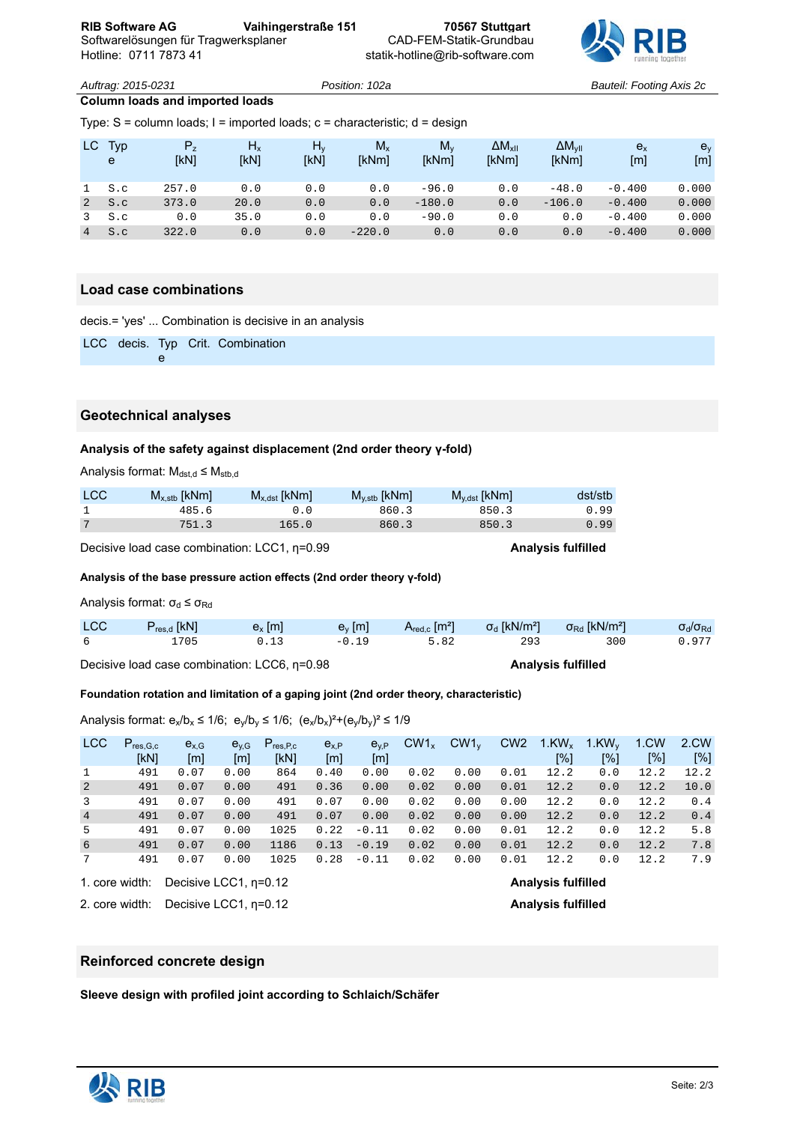

*Auftrag: 2015-0231 Position: 102a Bauteil: Footing Axis 2c*

# **Column loads and imported loads**

Type: S = column loads; I = imported loads; c = characteristic; d = design

| LC Typ<br>e | $P_{\rm z}$<br>[kN] | $H_x$<br>[kN] | $H_v$<br>[kN] | $M_{x}$<br>[kNm] | $M_{\nu}$<br>[kNm] | $\Delta M_{xII}$<br>[kNm] | $\Delta M_{VII}$<br>[kNm] | $e_{x}$<br>[ <sub>m</sub> ] | e <sub>v</sub><br>[m] |
|-------------|---------------------|---------------|---------------|------------------|--------------------|---------------------------|---------------------------|-----------------------------|-----------------------|
| S.c         | 257.0               | 0.0           | 0.0           | 0.0              | $-96.0$            | 0.0                       | $-48.0$                   | $-0.400$                    | 0.000                 |
| S.C         | 373.0               | 20.0          | 0.0           | 0.0              | $-180.0$           | 0.0                       | $-106.0$                  | $-0.400$                    | 0.000                 |
| S.c         | 0.0                 | 35.0          | 0.0           | 0.0              | $-90.0$            | 0.0                       | 0.0                       | $-0.400$                    | 0.000                 |
| S.C         | 322.0               | 0.0           | 0.0           | $-220.0$         | 0.0                | 0.0                       | 0.0                       | $-0.400$                    | 0.000                 |

#### **Load case combinations**

decis.= 'yes' ... Combination is decisive in an analysis

LCC decis. Typ Crit. Combination e

#### **Geotechnical analyses**

#### **Analysis of the safety against displacement (2nd order theory γ-fold)**

Analysis format:  $M_{dst,d} \leq M_{stb,d}$ 

| <b>LCC</b> | $M_{x,stb}$ [kNm] | $M_{x,dst}$ [kNm] | $M_{y,stb}$ [kNm] | $M_{y,dst}$ [kNm] | dst/stb |
|------------|-------------------|-------------------|-------------------|-------------------|---------|
|            | 485.6             |                   | 860.3             | 850.3             | 0.99    |
|            | 751.3             | 165.0             | 860.3             | 850.3             | .99     |

Decisive load case combination: LCC1, η=0.99 **Analysis fulfilled**

**Analysis of the base pressure action effects (2nd order theory γ-fold)**

Analysis format:  $\sigma_d \leq \sigma_{\text{Rd}}$ 

| <b>LCC</b> | $P_{res,d}$ [kN] | $e_x$ [m] |         |      |     | $\epsilon_{\rm v}$ [m] $\epsilon_{\rm red,c}$ [m <sup>2</sup> ] $\sigma_{\rm d}$ [kN/m <sup>2</sup> ] $\sigma_{\rm rd}$ [kN/m <sup>2</sup> ] | $\sigma_{\rm d}/\sigma_{\rm Rd}$ |
|------------|------------------|-----------|---------|------|-----|----------------------------------------------------------------------------------------------------------------------------------------------|----------------------------------|
|            | 1705             | 0.13      | $-0.19$ | 5.82 | 293 | 300                                                                                                                                          | 0.977                            |

Decisive load case combination: LCC6, η=0.98 **Analysis fulfilled**

**Foundation rotation and limitation of a gaping joint (2nd order theory, characteristic)**

Analysis format:  $e_x/b_x \le 1/6$ ;  $e_y/b_y \le 1/6$ ;  $(e_x/b_x)^2 + (e_y/b_y)^2 \le 1/9$ 

| <b>LCC</b>      | $P_{res,G,c}$<br>[kN] | $e_{x,G}$<br>$\lceil m \rceil$ | $e_{v,G}$<br>[m] | $P_{res.P.c}$<br>[KN] | $e_{x,P}$<br>[m] | $e_{v,P}$<br>[m] | $CW1_x$ | $CW1_v$ | CW <sub>2</sub> | $1$ .KW <sub>x</sub><br>[%] | $1.$ KW <sub>v</sub><br>[%] | 1.CW<br>[%] | 2.CW<br>[%] |
|-----------------|-----------------------|--------------------------------|------------------|-----------------------|------------------|------------------|---------|---------|-----------------|-----------------------------|-----------------------------|-------------|-------------|
| <sup>1</sup>    | 491                   | 0.07                           | 0.00             | 864                   | 0.40             | 0.00             | 0.02    | 0.00    | 0.01            | 12.2                        | 0.0                         | 12.2        | 12.2        |
| 2               | 491                   | 0.07                           | 0.00             | 491                   | 0.36             | 0.00             | 0.02    | 0.00    | 0.01            | 12.2                        | 0.0                         | 12.2        | 10.0        |
| $\overline{3}$  | 491                   | 0.07                           | 0.00             | 491                   | 0.07             | 0.00             | 0.02    | 0.00    | 0.00            | 12.2                        | 0.0                         | 12.2        | 0.4         |
| $\overline{4}$  | 491                   | 0.07                           | 0.00             | 491                   | 0.07             | 0.00             | 0.02    | 0.00    | 0.00            | 12.2                        | 0.0                         | 12.2        | 0.4         |
| 5               | 491                   | 0.07                           | 0.00             | 1025                  | 0.22             | $-0.11$          | 0.02    | 0.00    | 0.01            | 12.2                        | 0.0                         | 12.2        | 5.8         |
| 6               | 491                   | 0.07                           | 0.00             | 1186                  | 0.13             | $-0.19$          | 0.02    | 0.00    | 0.01            | 12.2                        | 0.0                         | 12.2        | 7.8         |
| $7\overline{ }$ | 491                   | 0.07                           | 0.00             | 1025                  | 0.28             | $-0.11$          | 0.02    | 0.00    | 0.01            | 12.2                        | 0.0                         | 12.2        | 7.9         |
|                 |                       |                                | .                |                       |                  |                  |         |         |                 |                             |                             |             |             |

1. core width: Decisive LCC1, η=0.12 **Analysis fulfilled**

2. core width: Decisive LCC1, η=0.12 **Analysis fulfilled**

#### **Reinforced concrete design**

**Sleeve design with profiled joint according to Schlaich/Schäfer**